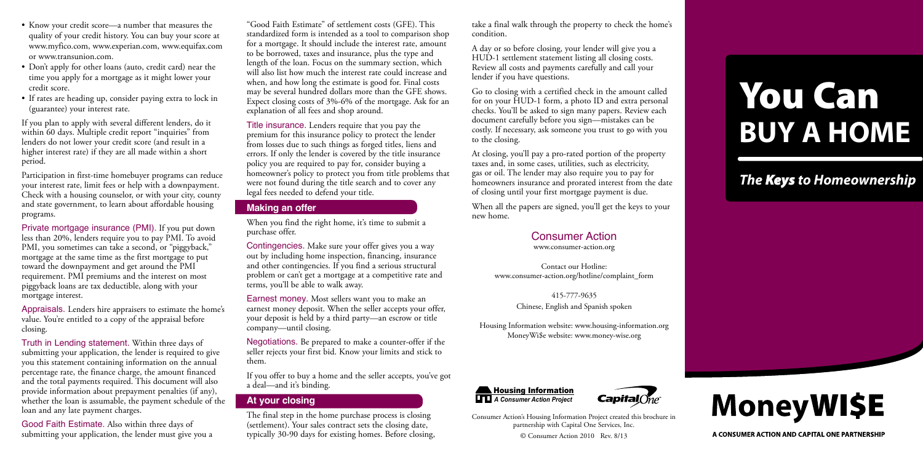"Good Faith Estimate" of settlement costs (GFE). This standardized form is intended as a tool to comparison shop for a mortgage. It should include the interest rate, amount to be borrowed, taxes and insurance, plus the type and length of the loan. Focus on the summary section, which will also list how much the interest rate could increase and when, and how long the estimate is good for. Final costs may be several hundred dollars more than the GFE shows. Expect closing costs of 3%-6% of the mortgage. Ask for an explanation of all fees and shop around.

Title insurance. Lenders require that you pay the premium for this insurance policy to protect the lender from losses due to such things as forged titles, liens and errors. If only the lender is covered by the title insurance policy you are required to pay for, consider buying a homeowner's policy to protect you from title problems that were not found during the title search and to cover any legal fees needed to defend your title.

#### **Making an offer**

When you find the right home, it's time to submit a purchase offer.

Contingencies. Make sure your offer gives you a way out by including home inspection, financing, insurance and other contingencies. If you find a serious structural problem or can't get a mortgage at a competitive rate and terms, you'll be able to walk away.

- Know your credit score—a number that measures the quality of your credit history. You can buy your score at [www.myfico.com,](http://www.myfico.com) [www.experian.com](http://www.experian.com), [www.equifax.com](http://www.equifax.com)  or [www.transunion.com](http://www.transunion.com).
- Don't apply for other loans (auto, credit card) near the time you apply for a mortgage as it might lower your credit score.
- If rates are heading up, consider paying extra to lock in (guarantee) your interest rate.

Earnest money. Most sellers want you to make an earnest money deposit. When the seller accepts your offer, your deposit is held by a third party—an escrow or title company—until closing.

Negotiations. Be prepared to make a counter-offer if the seller rejects your first bid. Know your limits and stick to them.

If you offer to buy a home and the seller accepts, you've got a deal—and it's binding.

## **At your closing**

The final step in the home purchase process is closing (settlement). Your sales contract sets the closing date, typically 30-90 days for existing homes. Before closing,

Consumer Action's Housing Information Project created this brochure in partnership with Capital One Services, Inc.

© Consumer Action 2010 Rev. 8/13

If you plan to apply with several different lenders, do it within 60 days. Multiple credit report "inquiries" from lenders do not lower your credit score (and result in a higher interest rate) if they are all made within a short period.

Participation in first-time homebuyer programs can reduce your interest rate, limit fees or help with a downpayment. Check with a housing counselor, or with your city, county and state government, to learn about affordable housing programs.

Private mortgage insurance (PMI). If you put down less than 20%, lenders require you to pay PMI. To avoid PMI, you sometimes can take a second, or "piggyback," mortgage at the same time as the first mortgage to put toward the downpayment and get around the PMI requirement. PMI premiums and the interest on most piggyback loans are tax deductible, along with your mortgage interest.

Appraisals. Lenders hire appraisers to estimate the home's value. You're entitled to a copy of the appraisal before closing.

Truth in Lending statement. Within three days of submitting your application, the lender is required to give you this statement containing information on the annual percentage rate, the finance charge, the amount financed and the total payments required. This document will also provide information about prepayment penalties (if any), whether the loan is assumable, the payment schedule of the loan and any late payment charges.

Good Faith Estimate. Also within three days of submitting your application, the lender must give you a take a final walk through the property to check the home's condition.

A day or so before closing, your lender will give you a HUD-1 settlement statement listing all closing costs. Review all costs and payments carefully and call your lender if you have questions.

Go to closing with a certified check in the amount called for on your HUD-1 form, a photo ID and extra personal checks. You'll be asked to sign many papers. Review each document carefully before you sign—mistakes can be costly. If necessary, ask someone you trust to go with you to the closing.

At closing, you'll pay a pro-rated portion of the property taxes and, in some cases, utilities, such as electricity, gas or oil. The lender may also require you to pay for homeowners insurance and prorated interest from the date of closing until your first mortgage payment is due.

When all the papers are signed, you'll get the keys to your new home.





## Consumer Action

[www.consumer-action.org](http://www.consumer-action.org)

Contact our Hotline: www.consumer-action.org/hotline/complaint\_form

> 415-777-9635 Chinese, English and Spanish spoken

Housing Information website: [www.housing-information.org](http://www.housing-information.org) MoneyWi\$e website: [www.money-wise.org](http://www.money-wise.org)

# You Can **BUY A HOME**

*The Keys to Homeownership*



A CONSUMER ACTION AND CAPITAL ONE PARTNERSHIP